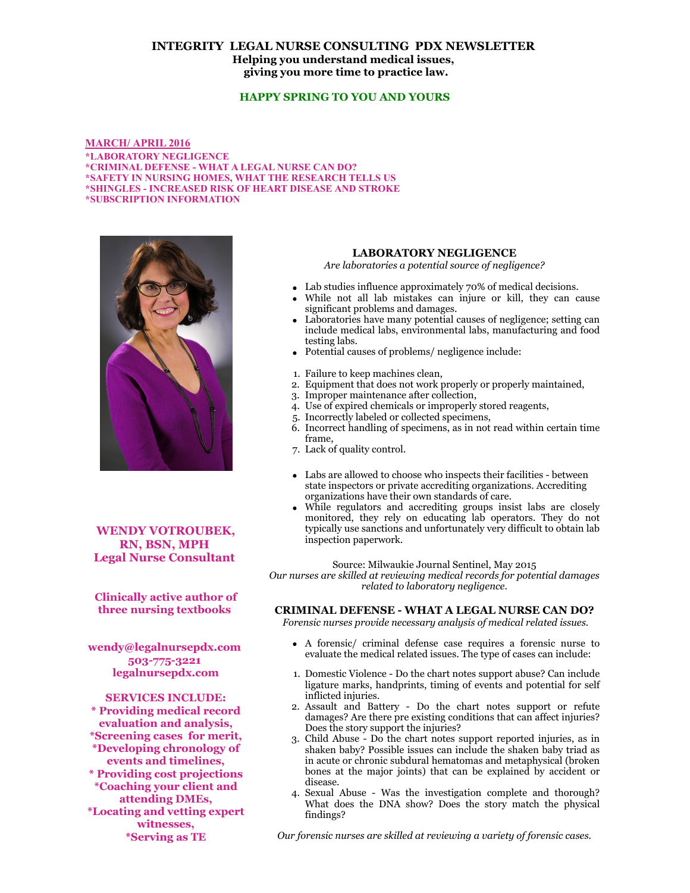# **INTEGRITY LEGAL NURSE CONSULTING PDX NEWSLETTER Helping you understand medical issues, giving you more time to practice law.**

## **HAPPY SPRING TO YOU AND YOURS**

**MARCH/ APRIL 2016 \*LABORATORY NEGLIGENCE \*CRIMINAL DEFENSE - WHAT A LEGAL NURSE CAN DO? \*SAFETY IN NURSING HOMES, WHAT THE RESEARCH TELLS US \*SHINGLES - INCREASED RISK OF HEART DISEASE AND STROKE \*SUBSCRIPTION INFORMATION**



**WENDY VOTROUBEK, RN, BSN, MPH Legal Nurse Consultant** 

**Clinically active author of three nursing textbooks** 

**wendy@legalnursepdx.com 503-775-3221 legalnursepdx.com**

**SERVICES INCLUDE: \* Providing medical record evaluation and analysis, \*Screening cases for merit, \*Developing chronology of events and timelines, \* Providing cost projections \*Coaching your client and attending DMEs, \*Locating and vetting expert witnesses, \*Serving as TE**

### **LABORATORY NEGLIGENCE**

*Are laboratories a potential source of negligence?*

- Lab studies influence approximately 70% of medical decisions.
- While not all lab mistakes can injure or kill, they can cause significant problems and damages.
- Laboratories have many potential causes of negligence; setting can include medical labs, environmental labs, manufacturing and food testing labs.
- Potential causes of problems/ negligence include:
- 1. Failure to keep machines clean,
- 2. Equipment that does not work properly or properly maintained,
- 3. Improper maintenance after collection,
- 4. Use of expired chemicals or improperly stored reagents,
- 5. Incorrectly labeled or collected specimens,
- 6. Incorrect handling of specimens, as in not read within certain time frame,
- 7. Lack of quality control.
- Labs are allowed to choose who inspects their facilities between state inspectors or private accrediting organizations. Accrediting organizations have their own standards of care.
- While regulators and accrediting groups insist labs are closely monitored, they rely on educating lab operators. They do not typically use sanctions and unfortunately very difficult to obtain lab inspection paperwork.

Source: Milwaukie Journal Sentinel, May 2015

*Our nurses are skilled at reviewing medical records for potential damages related to laboratory negligence.*

### **CRIMINAL DEFENSE - WHAT A LEGAL NURSE CAN DO?**

 *Forensic nurses provide necessary analysis of medical related issues.*

- A forensic/ criminal defense case requires a forensic nurse to evaluate the medical related issues. The type of cases can include:
- 1. Domestic Violence Do the chart notes support abuse? Can include ligature marks, handprints, timing of events and potential for self inflicted injuries.
- 2. Assault and Battery Do the chart notes support or refute damages? Are there pre existing conditions that can affect injuries? Does the story support the injuries?
- 3. Child Abuse Do the chart notes support reported injuries, as in shaken baby? Possible issues can include the shaken baby triad as in acute or chronic subdural hematomas and metaphysical (broken bones at the major joints) that can be explained by accident or disease.
- 4. Sexual Abuse Was the investigation complete and thorough? What does the DNA show? Does the story match the physical findings?

*Our forensic nurses are skilled at reviewing a variety of forensic cases.*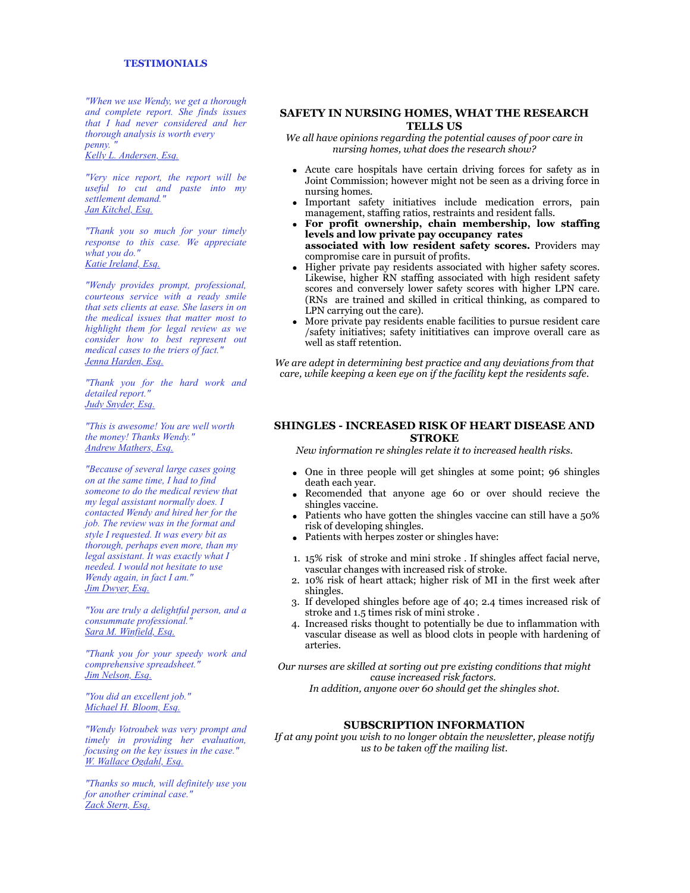*"When we use Wendy, we get a thorough and complete report. She finds issues that I had never considered and her thorough analysis is worth every penny. "*

*Kelly L. Andersen, Esq.*

*"Very nice report, the report will be useful to cut and paste into my settlement demand." Jan Kitchel, Esq.*

*"Thank you so much for your timely response to this case. We appreciate what you do." Katie Ireland, Esq.*

*"Wendy provides prompt, professional, courteous service with a ready smile that sets clients at ease. She lasers in on the medical issues that matter most to highlight them for legal review as we consider how to best represent out medical cases to the triers of fact." Jenna Harden, Esq.*

*"Thank you for the hard work and detailed report." Judy Snyder, Esq.*

*"This is awesome! You are well worth the money! Thanks Wendy." Andrew Mathers, Esq.*

*"Because of several large cases going on at the same time, I had to find someone to do the medical review that my legal assistant normally does. I contacted Wendy and hired her for the job. The review was in the format and style I requested. It was every bit as thorough, perhaps even more, than my legal assistant. It was exactly what I needed. I would not hesitate to use Wendy again, in fact I am." Jim Dwyer, Esq.*

*"You are truly a delightful person, and a consummate professional." Sara M. Winfield, Esq.*

*"Thank you for your speedy work and comprehensive spreadsheet." Jim Nelson, Esq.*

*"You did an excellent job." Michael H. Bloom, Esq.*

*"Wendy Votroubek was very prompt and timely in providing her evaluation, focusing on the key issues in the case." W. Wallace Ogdahl, Esq.*

*"Thanks so much, will definitely use you for another criminal case." Zack Stern, Esq.*

### **SAFETY IN NURSING HOMES, WHAT THE RESEARCH TELLS US**

*We all have opinions regarding the potential causes of poor care in nursing homes, what does the research show?*

- Acute care hospitals have certain driving forces for safety as in Joint Commission; however might not be seen as a driving force in nursing homes.
- Important safety initiatives include medication errors, pain management, staffing ratios, restraints and resident falls.
- **For profit ownership, chain membership, low staffing levels and low private pay occupancy rates associated with low resident safety scores.** Providers may compromise care in pursuit of profits.
- Higher private pay residents associated with higher safety scores. Likewise, higher RN staffing associated with high resident safety scores and conversely lower safety scores with higher LPN care. (RNs are trained and skilled in critical thinking, as compared to LPN carrying out the care).
- More private pay residents enable facilities to pursue resident care /safety initiatives; safety inititiatives can improve overall care as well as staff retention.

*We are adept in determining best practice and any deviations from that care, while keeping a keen eye on if the facility kept the residents safe.*

#### **SHINGLES - INCREASED RISK OF HEART DISEASE AND STROKE**

*New information re shingles relate it to increased health risks.*

- One in three people will get shingles at some point; 96 shingles death each year.
- Recomended that anyone age 60 or over should recieve the shingles vaccine.
- Patients who have gotten the shingles vaccine can still have a 50% risk of developing shingles.
- Patients with herpes zoster or shingles have:
- 1. 15% risk of stroke and mini stroke . If shingles affect facial nerve, vascular changes with increased risk of stroke.
- 2. 10% risk of heart attack; higher risk of MI in the first week after shingles.
- 3. If developed shingles before age of 40; 2.4 times increased risk of stroke and 1.5 times risk of mini stroke .
- 4. Increased risks thought to potentially be due to inflammation with vascular disease as well as blood clots in people with hardening of arteries.

*Our nurses are skilled at sorting out pre existing conditions that might cause increased risk factors. In addition, anyone over 60 should get the shingles shot.*

# **SUBSCRIPTION INFORMATION**

*If at any point you wish to no longer obtain the newsletter, please notify us to be taken off the mailing list.*